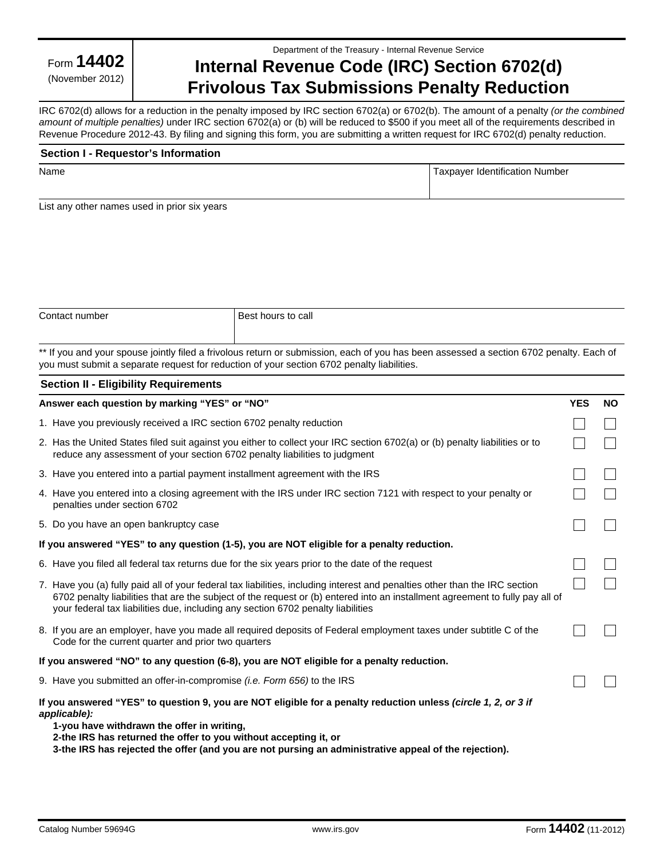Form **14402**

(November 2012)

#### Department of the Treasury - Internal Revenue Service

# **Internal Revenue Code (IRC) Section 6702(d) Frivolous Tax Submissions Penalty Reduction**

IRC 6702(d) allows for a reduction in the penalty imposed by IRC section 6702(a) or 6702(b). The amount of a penalty *(or the combined amount of multiple penalties)* under IRC section 6702(a) or (b) will be reduced to \$500 if you meet all of the requirements described in Revenue Procedure 2012-43. By filing and signing this form, you are submitting a written request for IRC 6702(d) penalty reduction.

| Section I - Requestor's Information |                                |  |
|-------------------------------------|--------------------------------|--|
| Name                                | Taxpayer Identification Number |  |

List any other names used in prior six years

| Contact number | Best hours to call |
|----------------|--------------------|
|                |                    |

\*\* If you and your spouse jointly filed a frivolous return or submission, each of you has been assessed a section 6702 penalty. Each of you must submit a separate request for reduction of your section 6702 penalty liabilities.

### **Section II - Eligibility Requirements**

| Answer each question by marking "YES" or "NO"                                                                                                                                                                                                                                                                                                    | <b>YES</b> | <b>NO</b> |
|--------------------------------------------------------------------------------------------------------------------------------------------------------------------------------------------------------------------------------------------------------------------------------------------------------------------------------------------------|------------|-----------|
| 1. Have you previously received a IRC section 6702 penalty reduction                                                                                                                                                                                                                                                                             |            |           |
| 2. Has the United States filed suit against you either to collect your IRC section 6702(a) or (b) penalty liabilities or to<br>reduce any assessment of your section 6702 penalty liabilities to judgment                                                                                                                                        |            |           |
| 3. Have you entered into a partial payment installment agreement with the IRS                                                                                                                                                                                                                                                                    |            |           |
| 4. Have you entered into a closing agreement with the IRS under IRC section 7121 with respect to your penalty or<br>penalties under section 6702                                                                                                                                                                                                 |            |           |
| 5. Do you have an open bankruptcy case                                                                                                                                                                                                                                                                                                           |            |           |
| If you answered "YES" to any question (1-5), you are NOT eligible for a penalty reduction.                                                                                                                                                                                                                                                       |            |           |
| 6. Have you filed all federal tax returns due for the six years prior to the date of the request                                                                                                                                                                                                                                                 |            |           |
| 7. Have you (a) fully paid all of your federal tax liabilities, including interest and penalties other than the IRC section<br>6702 penalty liabilities that are the subject of the request or (b) entered into an installment agreement to fully pay all of<br>your federal tax liabilities due, including any section 6702 penalty liabilities |            |           |
| 8. If you are an employer, have you made all required deposits of Federal employment taxes under subtitle C of the<br>Code for the current quarter and prior two quarters                                                                                                                                                                        |            |           |
| If you answered "NO" to any question (6-8), you are NOT eligible for a penalty reduction.                                                                                                                                                                                                                                                        |            |           |
| 9. Have you submitted an offer-in-compromise <i>(i.e. Form 656)</i> to the IRS                                                                                                                                                                                                                                                                   |            |           |
| If you answered "YES" to question 9, you are NOT eligible for a penalty reduction unless (circle 1, 2, or 3 if<br>applicable):<br>1-you have withdrawn the offer in writing,<br>2-the IRS has returned the offer to you without accepting it, or                                                                                                 |            |           |

**3-the IRS has rejected the offer (and you are not pursing an administrative appeal of the rejection).**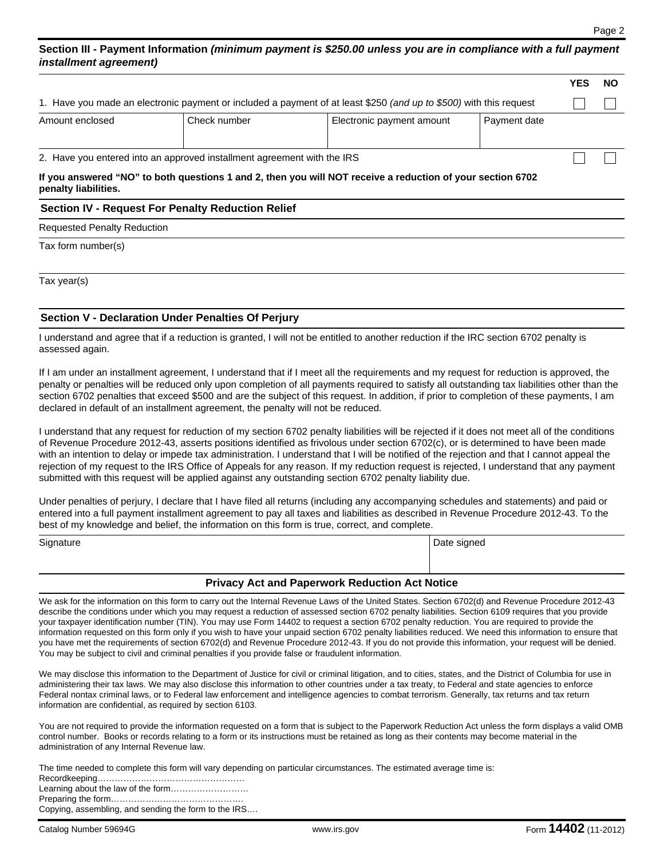# **Section III - Payment Information** *(minimum payment is \$250.00 unless you are in compliance with a full payment installment agreement)*

|                      |                                                                         |                                                                                                                    |              | <b>YES</b> | NO. |
|----------------------|-------------------------------------------------------------------------|--------------------------------------------------------------------------------------------------------------------|--------------|------------|-----|
|                      |                                                                         | 1. Have you made an electronic payment or included a payment of at least \$250 (and up to \$500) with this request |              |            |     |
| Amount enclosed      | Check number                                                            | Electronic payment amount                                                                                          | Payment date |            |     |
|                      | 2. Have you entered into an approved installment agreement with the IRS |                                                                                                                    |              |            |     |
| penalty liabilities. |                                                                         | If you answered "NO" to both questions 1 and 2, then you will NOT receive a reduction of your section 6702         |              |            |     |

# **Section IV - Request For Penalty Reduction Relief**

Requested Penalty Reduction

Tax form number(s)

Tax year(s)

#### **Section V - Declaration Under Penalties Of Perjury**

I understand and agree that if a reduction is granted, I will not be entitled to another reduction if the IRC section 6702 penalty is assessed again.

If I am under an installment agreement, I understand that if I meet all the requirements and my request for reduction is approved, the penalty or penalties will be reduced only upon completion of all payments required to satisfy all outstanding tax liabilities other than the section 6702 penalties that exceed \$500 and are the subject of this request. In addition, if prior to completion of these payments, I am declared in default of an installment agreement, the penalty will not be reduced.

I understand that any request for reduction of my section 6702 penalty liabilities will be rejected if it does not meet all of the conditions of Revenue Procedure 2012-43, asserts positions identified as frivolous under section 6702(c), or is determined to have been made with an intention to delay or impede tax administration. I understand that I will be notified of the rejection and that I cannot appeal the rejection of my request to the IRS Office of Appeals for any reason. If my reduction request is rejected, I understand that any payment submitted with this request will be applied against any outstanding section 6702 penalty liability due.

Under penalties of perjury, I declare that I have filed all returns (including any accompanying schedules and statements) and paid or entered into a full payment installment agreement to pay all taxes and liabilities as described in Revenue Procedure 2012-43. To the best of my knowledge and belief, the information on this form is true, correct, and complete.

| Signature |                                                    | Date signed |
|-----------|----------------------------------------------------|-------------|
|           |                                                    |             |
|           | Balances Antiqued Bournards Barbardon, Antibiotics |             |

#### **Privacy Act and Paperwork Reduction Act Notice**

We ask for the information on this form to carry out the Internal Revenue Laws of the United States. Section 6702(d) and Revenue Procedure 2012-43 describe the conditions under which you may request a reduction of assessed section 6702 penalty liabilities. Section 6109 requires that you provide your taxpayer identification number (TIN). You may use Form 14402 to request a section 6702 penalty reduction. You are required to provide the information requested on this form only if you wish to have your unpaid section 6702 penalty liabilities reduced. We need this information to ensure that you have met the requirements of section 6702(d) and Revenue Procedure 2012-43. If you do not provide this information, your request will be denied. You may be subject to civil and criminal penalties if you provide false or fraudulent information.

We may disclose this information to the Department of Justice for civil or criminal litigation, and to cities, states, and the District of Columbia for use in administering their tax laws. We may also disclose this information to other countries under a tax treaty, to Federal and state agencies to enforce Federal nontax criminal laws, or to Federal law enforcement and intelligence agencies to combat terrorism. Generally, tax returns and tax return information are confidential, as required by section 6103.

You are not required to provide the information requested on a form that is subject to the Paperwork Reduction Act unless the form displays a valid OMB control number. Books or records relating to a form or its instructions must be retained as long as their contents may become material in the administration of any Internal Revenue law.

| The time needed to complete this form will vary depending on particular circumstances. The estimated average time is: |
|-----------------------------------------------------------------------------------------------------------------------|
|                                                                                                                       |
|                                                                                                                       |
|                                                                                                                       |

Copying, assembling, and sending the form to the IRS….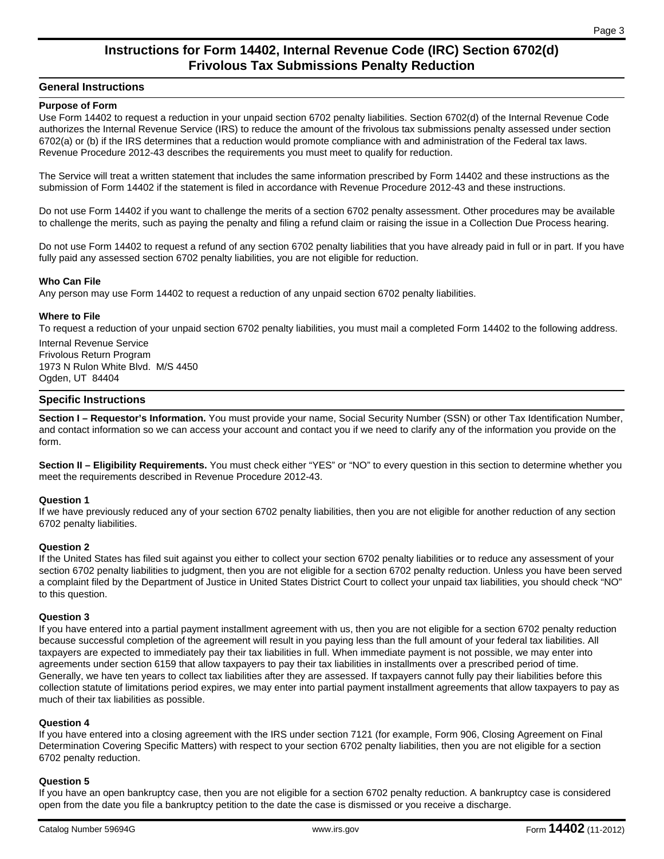# **Instructions for Form 14402, Internal Revenue Code (IRC) Section 6702(d) Frivolous Tax Submissions Penalty Reduction**

### **General Instructions**

#### **Purpose of Form**

Use Form 14402 to request a reduction in your unpaid section 6702 penalty liabilities. Section 6702(d) of the Internal Revenue Code authorizes the Internal Revenue Service (IRS) to reduce the amount of the frivolous tax submissions penalty assessed under section 6702(a) or (b) if the IRS determines that a reduction would promote compliance with and administration of the Federal tax laws. Revenue Procedure 2012-43 describes the requirements you must meet to qualify for reduction.

The Service will treat a written statement that includes the same information prescribed by Form 14402 and these instructions as the submission of Form 14402 if the statement is filed in accordance with Revenue Procedure 2012-43 and these instructions.

Do not use Form 14402 if you want to challenge the merits of a section 6702 penalty assessment. Other procedures may be available to challenge the merits, such as paying the penalty and filing a refund claim or raising the issue in a Collection Due Process hearing.

Do not use Form 14402 to request a refund of any section 6702 penalty liabilities that you have already paid in full or in part. If you have fully paid any assessed section 6702 penalty liabilities, you are not eligible for reduction.

#### **Who Can File**

Any person may use Form 14402 to request a reduction of any unpaid section 6702 penalty liabilities.

#### **Where to File**

To request a reduction of your unpaid section 6702 penalty liabilities, you must mail a completed Form 14402 to the following address.

Internal Revenue Service Frivolous Return Program 1973 N Rulon White Blvd. M/S 4450 Ogden, UT 84404

#### **Specific Instructions**

**Section I – Requestor's Information.** You must provide your name, Social Security Number (SSN) or other Tax Identification Number, and contact information so we can access your account and contact you if we need to clarify any of the information you provide on the form.

**Section II – Eligibility Requirements.** You must check either "YES" or "NO" to every question in this section to determine whether you meet the requirements described in Revenue Procedure 2012-43.

#### **Question 1**

If we have previously reduced any of your section 6702 penalty liabilities, then you are not eligible for another reduction of any section 6702 penalty liabilities.

#### **Question 2**

If the United States has filed suit against you either to collect your section 6702 penalty liabilities or to reduce any assessment of your section 6702 penalty liabilities to judgment, then you are not eligible for a section 6702 penalty reduction. Unless you have been served a complaint filed by the Department of Justice in United States District Court to collect your unpaid tax liabilities, you should check "NO" to this question.

#### **Question 3**

If you have entered into a partial payment installment agreement with us, then you are not eligible for a section 6702 penalty reduction because successful completion of the agreement will result in you paying less than the full amount of your federal tax liabilities. All taxpayers are expected to immediately pay their tax liabilities in full. When immediate payment is not possible, we may enter into agreements under section 6159 that allow taxpayers to pay their tax liabilities in installments over a prescribed period of time. Generally, we have ten years to collect tax liabilities after they are assessed. If taxpayers cannot fully pay their liabilities before this collection statute of limitations period expires, we may enter into partial payment installment agreements that allow taxpayers to pay as much of their tax liabilities as possible.

#### **Question 4**

If you have entered into a closing agreement with the IRS under section 7121 (for example, Form 906, Closing Agreement on Final Determination Covering Specific Matters) with respect to your section 6702 penalty liabilities, then you are not eligible for a section 6702 penalty reduction.

#### **Question 5**

If you have an open bankruptcy case, then you are not eligible for a section 6702 penalty reduction. A bankruptcy case is considered open from the date you file a bankruptcy petition to the date the case is dismissed or you receive a discharge.